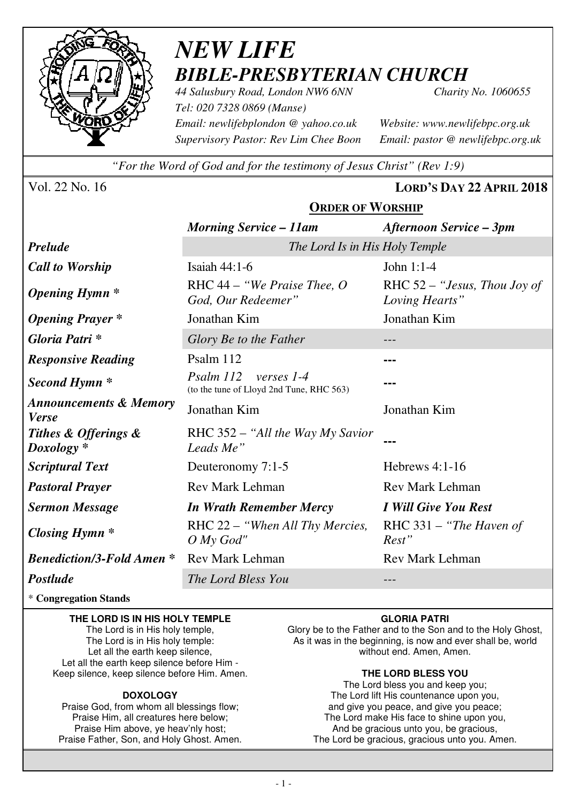

# *NEW LIFE BIBLE-PRESBYTERIAN CHURCH*

*44 Salusbury Road, London NW6 6NN Charity No. 1060655 Tel: 020 7328 0869 (Manse) Email: newlifebplondon @ yahoo.co.uk Website: www.newlifebpc.org.uk Supervisory Pastor: Rev Lim Chee Boon Email: pastor @ newlifebpc.org.uk* 

*"For the Word of God and for the testimony of Jesus Christ" (Rev 1:9)*

Vol. 22 No. 16 **LORD'S DAY 22 APRIL 2018**

|                                                   | <b>ORDER OF WORSHIP</b>                                                    |                                                  |  |  |
|---------------------------------------------------|----------------------------------------------------------------------------|--------------------------------------------------|--|--|
|                                                   | <b>Morning Service – 11am</b>                                              | <b>Afternoon Service - 3pm</b>                   |  |  |
| <b>Prelude</b>                                    | The Lord Is in His Holy Temple                                             |                                                  |  |  |
| <b>Call to Worship</b>                            | Isaiah $44:1-6$                                                            | John 1:1-4                                       |  |  |
| <b>Opening Hymn</b> *                             | RHC $44$ – "We Praise Thee, O<br>God, Our Redeemer"                        | RHC $52 -$ "Jesus, Thou Joy of<br>Loving Hearts" |  |  |
| <b>Opening Prayer</b> *                           | Jonathan Kim                                                               | Jonathan Kim                                     |  |  |
| Gloria Patri*                                     | Glory Be to the Father                                                     |                                                  |  |  |
| <b>Responsive Reading</b>                         | Psalm 112                                                                  |                                                  |  |  |
| Second Hymn <sup>*</sup>                          | $P_{Salm}$ 112<br>verses $1-4$<br>(to the tune of Lloyd 2nd Tune, RHC 563) |                                                  |  |  |
| <b>Announcements &amp; Memory</b><br><b>Verse</b> | Jonathan Kim                                                               | Jonathan Kim                                     |  |  |
| Tithes & Offerings &<br>$Doxology *$              | RHC 352 - "All the Way My Savior"<br>Leads Me"                             |                                                  |  |  |
| <b>Scriptural Text</b>                            | Deuteronomy 7:1-5                                                          | Hebrews $4:1-16$                                 |  |  |
| <b>Pastoral Prayer</b>                            | <b>Rev Mark Lehman</b>                                                     | <b>Rev Mark Lehman</b>                           |  |  |
| <b>Sermon Message</b>                             | <b>In Wrath Remember Mercy</b>                                             | I Will Give You Rest                             |  |  |
| Closing Hymn $*$                                  | RHC 22 – "When All Thy Mercies,<br>$O$ My God"                             | RHC 331 – "The Haven of<br>Rest"                 |  |  |
| <b>Benediction/3-Fold Amen *</b>                  | Rev Mark Lehman                                                            | Rev Mark Lehman                                  |  |  |

*Postlude The Lord Bless You ---* 

\* **Congregation Stands** 

#### **THE LORD IS IN HIS HOLY TEMPLE**

The Lord is in His holy temple, The Lord is in His holy temple: Let all the earth keep silence, Let all the earth keep silence before Him - Keep silence, keep silence before Him. Amen.

#### **DOXOLOGY**

Praise God, from whom all blessings flow; Praise Him, all creatures here below; Praise Him above, ye heav'nly host; Praise Father, Son, and Holy Ghost. Amen.

#### **GLORIA PATRI**

Glory be to the Father and to the Son and to the Holy Ghost, As it was in the beginning, is now and ever shall be, world without end. Amen, Amen.

#### **THE LORD BLESS YOU**

The Lord bless you and keep you; The Lord lift His countenance upon you, and give you peace, and give you peace; The Lord make His face to shine upon you, And be gracious unto you, be gracious, The Lord be gracious, gracious unto you. Amen.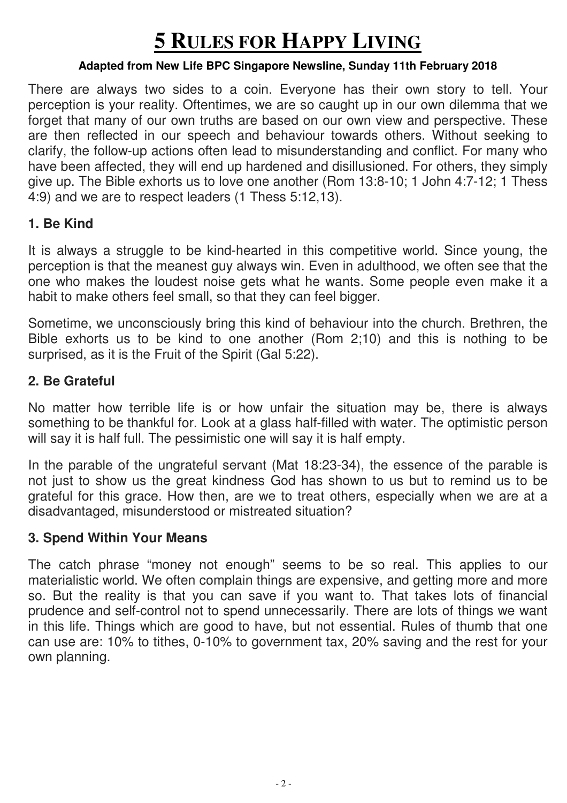# **5 RULES FOR HAPPY LIVING**

#### **Adapted from New Life BPC Singapore Newsline, Sunday 11th February 2018**

There are always two sides to a coin. Everyone has their own story to tell. Your perception is your reality. Oftentimes, we are so caught up in our own dilemma that we forget that many of our own truths are based on our own view and perspective. These are then reflected in our speech and behaviour towards others. Without seeking to clarify, the follow-up actions often lead to misunderstanding and conflict. For many who have been affected, they will end up hardened and disillusioned. For others, they simply give up. The Bible exhorts us to love one another (Rom 13:8-10; 1 John 4:7-12; 1 Thess 4:9) and we are to respect leaders (1 Thess 5:12,13).

### **1. Be Kind**

It is always a struggle to be kind-hearted in this competitive world. Since young, the perception is that the meanest guy always win. Even in adulthood, we often see that the one who makes the loudest noise gets what he wants. Some people even make it a habit to make others feel small, so that they can feel bigger.

Sometime, we unconsciously bring this kind of behaviour into the church. Brethren, the Bible exhorts us to be kind to one another (Rom 2;10) and this is nothing to be surprised, as it is the Fruit of the Spirit (Gal 5:22).

## **2. Be Grateful**

No matter how terrible life is or how unfair the situation may be, there is always something to be thankful for. Look at a glass half-filled with water. The optimistic person will say it is half full. The pessimistic one will say it is half empty.

In the parable of the ungrateful servant (Mat 18:23-34), the essence of the parable is not just to show us the great kindness God has shown to us but to remind us to be grateful for this grace. How then, are we to treat others, especially when we are at a disadvantaged, misunderstood or mistreated situation?

## **3. Spend Within Your Means**

The catch phrase "money not enough" seems to be so real. This applies to our materialistic world. We often complain things are expensive, and getting more and more so. But the reality is that you can save if you want to. That takes lots of financial prudence and self-control not to spend unnecessarily. There are lots of things we want in this life. Things which are good to have, but not essential. Rules of thumb that one can use are: 10% to tithes, 0-10% to government tax, 20% saving and the rest for your own planning.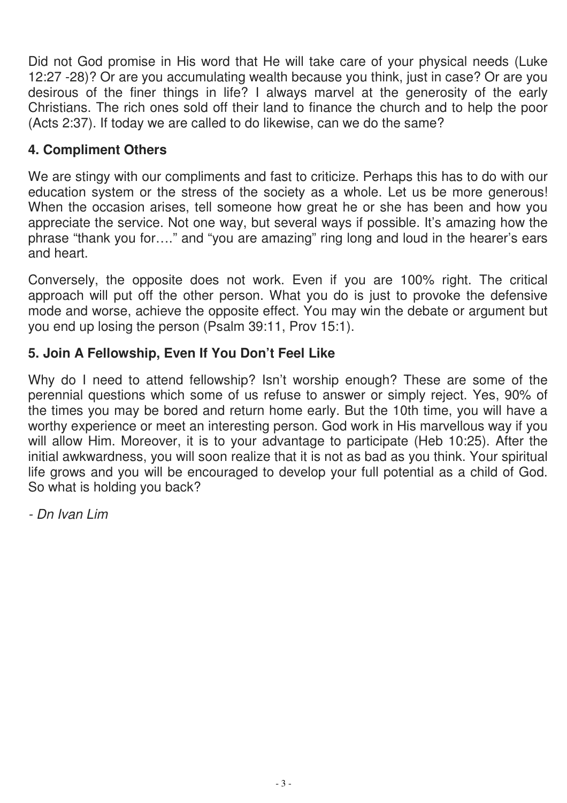Did not God promise in His word that He will take care of your physical needs (Luke 12:27 -28)? Or are you accumulating wealth because you think, just in case? Or are you desirous of the finer things in life? I always marvel at the generosity of the early Christians. The rich ones sold off their land to finance the church and to help the poor (Acts 2:37). If today we are called to do likewise, can we do the same?

# **4. Compliment Others**

We are stingy with our compliments and fast to criticize. Perhaps this has to do with our education system or the stress of the society as a whole. Let us be more generous! When the occasion arises, tell someone how great he or she has been and how you appreciate the service. Not one way, but several ways if possible. It's amazing how the phrase "thank you for…." and "you are amazing" ring long and loud in the hearer's ears and heart.

Conversely, the opposite does not work. Even if you are 100% right. The critical approach will put off the other person. What you do is just to provoke the defensive mode and worse, achieve the opposite effect. You may win the debate or argument but you end up losing the person (Psalm 39:11, Prov 15:1).

# **5. Join A Fellowship, Even If You Don't Feel Like**

Why do I need to attend fellowship? Isn't worship enough? These are some of the perennial questions which some of us refuse to answer or simply reject. Yes, 90% of the times you may be bored and return home early. But the 10th time, you will have a worthy experience or meet an interesting person. God work in His marvellous way if you will allow Him. Moreover, it is to your advantage to participate (Heb 10:25). After the initial awkwardness, you will soon realize that it is not as bad as you think. Your spiritual life grows and you will be encouraged to develop your full potential as a child of God. So what is holding you back?

- Dn Ivan Lim